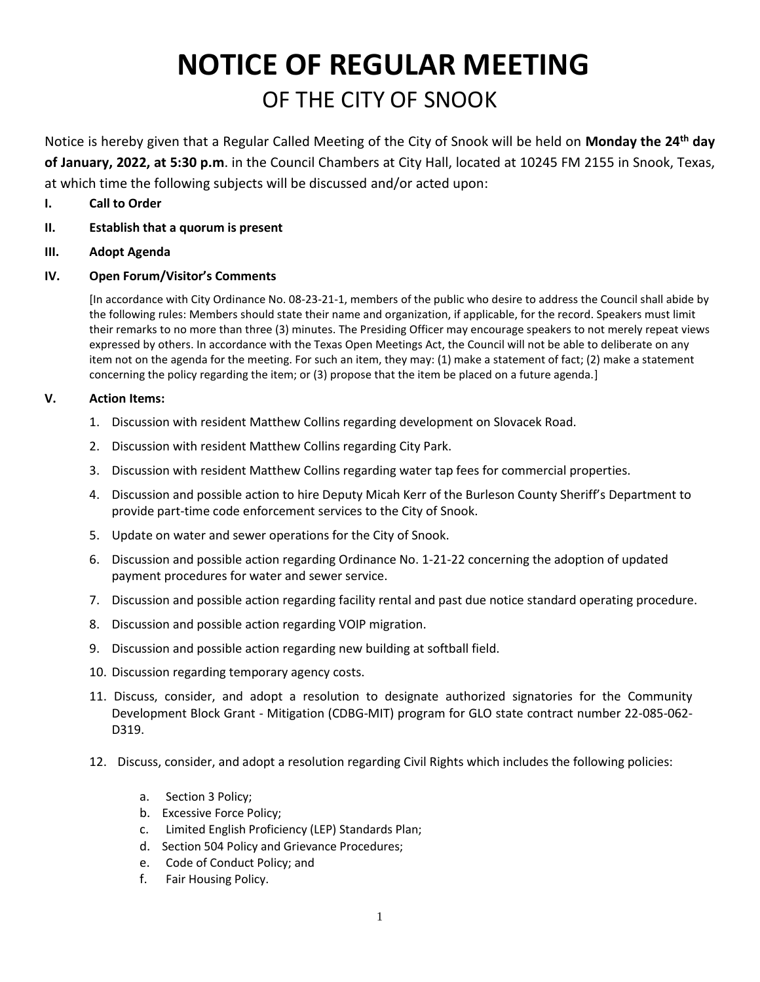# **NOTICE OF REGULAR MEETING** OF THE CITY OF SNOOK

Notice is hereby given that a Regular Called Meeting of the City of Snook will be held on **Monday the 24th day of January, 2022, at 5:30 p.m**. in the Council Chambers at City Hall, located at 10245 FM 2155 in Snook, Texas, at which time the following subjects will be discussed and/or acted upon:

- **I. Call to Order**
- **II. Establish that a quorum is present**
- **III. Adopt Agenda**

#### **IV. Open Forum/Visitor's Comments**

[In accordance with City Ordinance No. 08-23-21-1, members of the public who desire to address the Council shall abide by the following rules: Members should state their name and organization, if applicable, for the record. Speakers must limit their remarks to no more than three (3) minutes. The Presiding Officer may encourage speakers to not merely repeat views expressed by others. In accordance with the Texas Open Meetings Act, the Council will not be able to deliberate on any item not on the agenda for the meeting. For such an item, they may: (1) make a statement of fact; (2) make a statement concerning the policy regarding the item; or (3) propose that the item be placed on a future agenda.]

#### **V. Action Items:**

- 1. Discussion with resident Matthew Collins regarding development on Slovacek Road.
- 2. Discussion with resident Matthew Collins regarding City Park.
- 3. Discussion with resident Matthew Collins regarding water tap fees for commercial properties.
- 4. Discussion and possible action to hire Deputy Micah Kerr of the Burleson County Sheriff's Department to provide part-time code enforcement services to the City of Snook.
- 5. Update on water and sewer operations for the City of Snook.
- 6. Discussion and possible action regarding Ordinance No. 1-21-22 concerning the adoption of updated payment procedures for water and sewer service.
- 7. Discussion and possible action regarding facility rental and past due notice standard operating procedure.
- 8. Discussion and possible action regarding VOIP migration.
- 9. Discussion and possible action regarding new building at softball field.
- 10. Discussion regarding temporary agency costs.
- 11. Discuss, consider, and adopt a resolution to designate authorized signatories for the Community Development Block Grant - Mitigation (CDBG-MIT) program for GLO state contract number 22-085-062- D319.
- 12. Discuss, consider, and adopt a resolution regarding Civil Rights which includes the following policies:
	- a. Section 3 Policy;
	- b. Excessive Force Policy;
	- c. Limited English Proficiency (LEP) Standards Plan;
	- d. Section 504 Policy and Grievance Procedures;
	- e. Code of Conduct Policy; and
	- f. Fair Housing Policy.